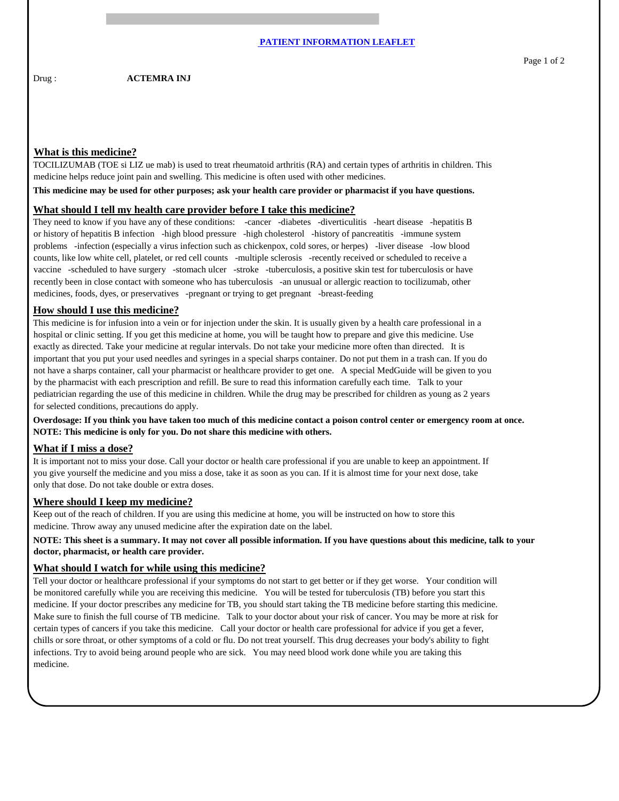## **What is this medicine?**

TOCILIZUMAB (TOE si LIZ ue mab) is used to treat rheumatoid arthritis (RA) and certain types of arthritis in children. This medicine helps reduce joint pain and swelling. This medicine is often used with other medicines.

**This medicine may be used for other purposes; ask your health care provider or pharmacist if you have questions.**

#### **What should I tell my health care provider before I take this medicine?**

They need to know if you have any of these conditions: -cancer -diabetes -diverticulitis -heart disease -hepatitis B or history of hepatitis B infection -high blood pressure -high cholesterol -history of pancreatitis -immune system problems -infection (especially a virus infection such as chickenpox, cold sores, or herpes) -liver disease -low blood counts, like low white cell, platelet, or red cell counts -multiple sclerosis -recently received or scheduled to receive a vaccine -scheduled to have surgery -stomach ulcer -stroke -tuberculosis, a positive skin test for tuberculosis or have recently been in close contact with someone who has tuberculosis -an unusual or allergic reaction to tocilizumab, other medicines, foods, dyes, or preservatives -pregnant or trying to get pregnant -breast-feeding

## **How should I use this medicine?**

This medicine is for infusion into a vein or for injection under the skin. It is usually given by a health care professional in a hospital or clinic setting. If you get this medicine at home, you will be taught how to prepare and give this medicine. Use exactly as directed. Take your medicine at regular intervals. Do not take your medicine more often than directed. It is important that you put your used needles and syringes in a special sharps container. Do not put them in a trash can. If you do not have a sharps container, call your pharmacist or healthcare provider to get one. A special MedGuide will be given to you by the pharmacist with each prescription and refill. Be sure to read this information carefully each time. Talk to your pediatrician regarding the use of this medicine in children. While the drug may be prescribed for children as young as 2 years for selected conditions, precautions do apply.

**Overdosage: If you think you have taken too much of this medicine contact a poison control center or emergency room at once. NOTE: This medicine is only for you. Do not share this medicine with others.**

### **What if I miss a dose?**

It is important not to miss your dose. Call your doctor or health care professional if you are unable to keep an appointment. If you give yourself the medicine and you miss a dose, take it as soon as you can. If it is almost time for your next dose, take only that dose. Do not take double or extra doses.

### **Where should I keep my medicine?**

Keep out of the reach of children. If you are using this medicine at home, you will be instructed on how to store this medicine. Throw away any unused medicine after the expiration date on the label.

## **NOTE: This sheet is a summary. It may not cover all possible information. If you have questions about this medicine, talk to your doctor, pharmacist, or health care provider.**

### **What should I watch for while using this medicine?**

Tell your doctor or healthcare professional if your symptoms do not start to get better or if they get worse. Your condition will be monitored carefully while you are receiving this medicine. You will be tested for tuberculosis (TB) before you start this medicine. If your doctor prescribes any medicine for TB, you should start taking the TB medicine before starting this medicine. Make sure to finish the full course of TB medicine. Talk to your doctor about your risk of cancer. You may be more at risk for certain types of cancers if you take this medicine. Call your doctor or health care professional for advice if you get a fever, chills or sore throat, or other symptoms of a cold or flu. Do not treat yourself. This drug decreases your body's ability to fight infections. Try to avoid being around people who are sick. You may need blood work done while you are taking this medicine.